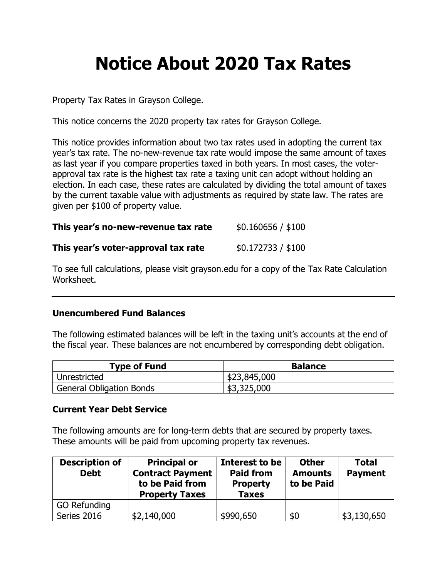## **Notice About 2020 Tax Rates**

Property Tax Rates in Grayson College.

This notice concerns the 2020 property tax rates for Grayson College.

This notice provides information about two tax rates used in adopting the current tax year's tax rate. The no-new-revenue tax rate would impose the same amount of taxes as last year if you compare properties taxed in both years. In most cases, the voterapproval tax rate is the highest tax rate a taxing unit can adopt without holding an election. In each case, these rates are calculated by dividing the total amount of taxes by the current taxable value with adjustments as required by state law. The rates are given per \$100 of property value.

| \$0.160656 / \$100 |
|--------------------|
|                    |

| This year's voter-approval tax rate | \$0.172733 / \$100 |
|-------------------------------------|--------------------|
|-------------------------------------|--------------------|

To see full calculations, please visit grayson.edu for a copy of the Tax Rate Calculation Worksheet.

## **Unencumbered Fund Balances**

The following estimated balances will be left in the taxing unit's accounts at the end of the fiscal year. These balances are not encumbered by corresponding debt obligation.

| Type of Fund                    | <b>Balance</b> |
|---------------------------------|----------------|
| Unrestricted                    | \$23,845,000   |
| <b>General Obligation Bonds</b> | \$3,325,000    |

## **Current Year Debt Service**

The following amounts are for long-term debts that are secured by property taxes. These amounts will be paid from upcoming property tax revenues.

| <b>Description of</b><br><b>Debt</b> | <b>Principal or</b><br><b>Contract Payment</b><br>to be Paid from<br><b>Property Taxes</b> | Interest to be<br><b>Paid from</b><br><b>Property</b><br><b>Taxes</b> | <b>Other</b><br><b>Amounts</b><br>to be Paid | <b>Total</b><br><b>Payment</b> |
|--------------------------------------|--------------------------------------------------------------------------------------------|-----------------------------------------------------------------------|----------------------------------------------|--------------------------------|
| <b>GO Refunding</b>                  |                                                                                            |                                                                       |                                              |                                |
| Series 2016                          | \$2,140,000                                                                                | \$990,650                                                             | \$0                                          | \$3,130,650                    |